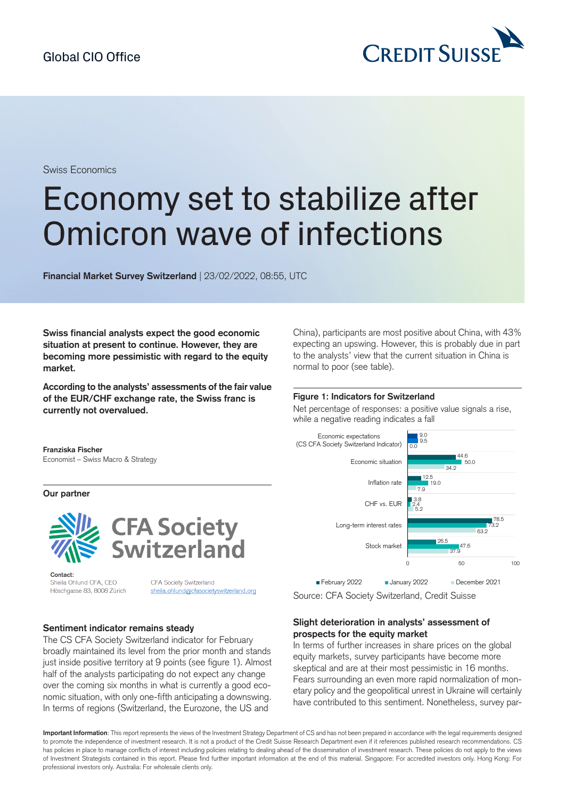

Swiss Economics

# Economy set to stabilize after Omicron wave of infections

**Financial Market Survey Switzerland** | 23/02/2022, 08:55, UTC

**Swiss financial analysts expect the good economic situation at present to continue. However, they are becoming more pessimistic with regard to the equity market.**

**According to the analysts' assessments of the fair value of the EUR/CHF exchange rate, the Swiss franc is currently not overvalued.**

China), participants are most positive about China, with 43% expecting an upswing. However, this is probably due in part to the analysts' view that the current situation in China is normal to poor (see table).

#### **Figure 1: Indicators for Switzerland**

Net percentage of responses: a positive value signals a rise, while a negative reading indicates a fall



**Our partner**



Contact: Sheila Ohlund CFA, CEO Höschgasse 83, 8008 Zürich

CFA Society Switzerland sheila.ohlund@cfasocietyswitzerland.org

### **Sentiment indicator remains steady**

The CS CFA Society Switzerland indicator for February broadly maintained its level from the prior month and stands just inside positive territory at 9 points (see figure 1). Almost half of the analysts participating do not expect any change over the coming six months in what is currently a good economic situation, with only one-fifth anticipating a downswing. In terms of regions (Switzerland, the Eurozone, the US and



Source: CFA Society Switzerland, Credit Suisse

## **Slight deterioration in analysts' assessment of prospects for the equity market**

In terms of further increases in share prices on the global equity markets, survey participants have become more skeptical and are at their most pessimistic in 16 months. Fears surrounding an even more rapid normalization of monetary policy and the geopolitical unrest in Ukraine will certainly have contributed to this sentiment. Nonetheless, survey par-

**Important Information**: This report represents the views of the Investment Strategy Department of CS and has not been prepared in accordance with the legal requirements designed to promote the independence of investment research. It is not a product of the Credit Suisse Research Department even if it references published research recommendations. CS has policies in place to manage conflicts of interest including policies relating to dealing ahead of the dissemination of investment research. These policies do not apply to the views of Investment Strategists contained in this report. Please find further important information at the end of this material. Singapore: For accredited investors only. Hong Kong: For professional investors only. Australia: For wholesale clients only.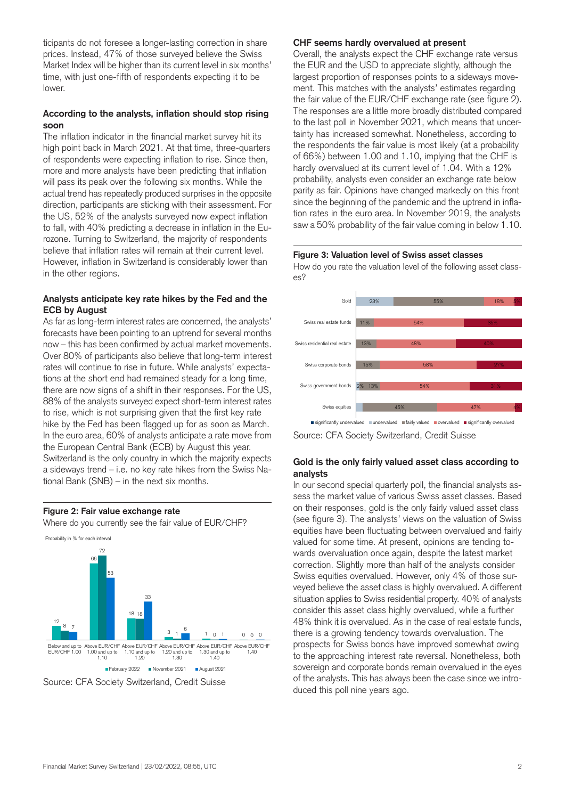ticipants do not foresee a longer-lasting correction in share prices. Instead, 47% of those surveyed believe the Swiss Market Index will be higher than its current level in six months' time, with just one-fifth of respondents expecting it to be lower.

## **According to the analysts, inflation should stop rising soon**

The inflation indicator in the financial market survey hit its high point back in March 2021. At that time, three-quarters of respondents were expecting inflation to rise. Since then, more and more analysts have been predicting that inflation will pass its peak over the following six months. While the actual trend has repeatedly produced surprises in the opposite direction, participants are sticking with their assessment. For the US, 52% of the analysts surveyed now expect inflation to fall, with 40% predicting a decrease in inflation in the Eurozone. Turning to Switzerland, the majority of respondents believe that inflation rates will remain at their current level. However, inflation in Switzerland is considerably lower than in the other regions.

## **Analysts anticipate key rate hikes by the Fed and the ECB by August**

As far as long-term interest rates are concerned, the analysts' forecasts have been pointing to an uptrend for several months now – this has been confirmed by actual market movements. Over 80% of participants also believe that long-term interest rates will continue to rise in future. While analysts' expectations at the short end had remained steady for a long time, there are now signs of a shift in their responses. For the US, 88% of the analysts surveyed expect short-term interest rates to rise, which is not surprising given that the first key rate hike by the Fed has been flagged up for as soon as March. In the euro area, 60% of analysts anticipate a rate move from the European Central Bank (ECB) by August this year. Switzerland is the only country in which the majority expects a sideways trend – i.e. no key rate hikes from the Swiss National Bank (SNB) – in the next six months.

## **Figure 2: Fair value exchange rate**

Where do you currently see the fair value of EUR/CHF?





## **CHF seems hardly overvalued at present**

Overall, the analysts expect the CHF exchange rate versus the EUR and the USD to appreciate slightly, although the largest proportion of responses points to a sideways movement. This matches with the analysts' estimates regarding the fair value of the EUR/CHF exchange rate (see figure 2). The responses are a little more broadly distributed compared to the last poll in November 2021, which means that uncertainty has increased somewhat. Nonetheless, according to the respondents the fair value is most likely (at a probability of 66%) between 1.00 and 1.10, implying that the CHF is hardly overvalued at its current level of 1.04. With a 12% probability, analysts even consider an exchange rate below parity as fair. Opinions have changed markedly on this front since the beginning of the pandemic and the uptrend in inflation rates in the euro area. In November 2019, the analysts saw a 50% probability of the fair value coming in below 1.10.

#### **Figure 3: Valuation level of Swiss asset classes**

How do you rate the valuation level of the following asset classes?



Source: CFA Society Switzerland, Credit Suisse

## **Gold is the only fairly valued asset class according to analysts**

In our second special quarterly poll, the financial analysts assess the market value of various Swiss asset classes. Based on their responses, gold is the only fairly valued asset class (see figure 3). The analysts' views on the valuation of Swiss equities have been fluctuating between overvalued and fairly valued for some time. At present, opinions are tending towards overvaluation once again, despite the latest market correction. Slightly more than half of the analysts consider Swiss equities overvalued. However, only 4% of those surveyed believe the asset class is highly overvalued. A different situation applies to Swiss residential property. 40% of analysts consider this asset class highly overvalued, while a further 48% think it is overvalued. As in the case of real estate funds, there is a growing tendency towards overvaluation. The prospects for Swiss bonds have improved somewhat owing to the approaching interest rate reversal. Nonetheless, both sovereign and corporate bonds remain overvalued in the eyes of the analysts. This has always been the case since we introduced this poll nine years ago.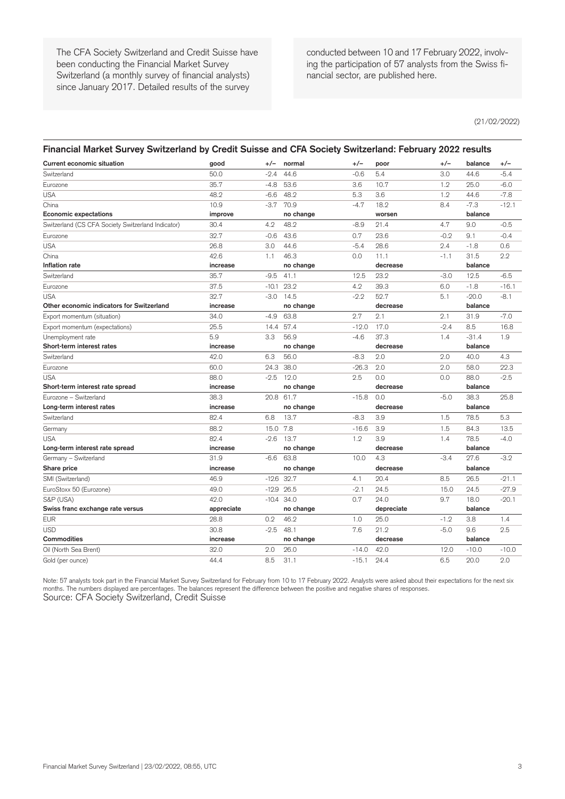The CFA Society Switzerland and Credit Suisse have been conducting the Financial Market Survey Switzerland (a monthly survey of financial analysts) since January 2017. Detailed results of the survey

conducted between 10 and 17 February 2022, involving the participation of 57 analysts from the Swiss financial sector, are published here.

(21/02/2022)

#### **Financial Market Survey Switzerland by Credit Suisse and CFA Society Switzerland: February 2022 results**

| <b>Current economic situation</b>                  | good       | $+/-$   | normal       | $+/-$   | poor       | +/-    | balance | $+/-$   |
|----------------------------------------------------|------------|---------|--------------|---------|------------|--------|---------|---------|
| Switzerland                                        | 50.0       | $-2.4$  | 44.6         | $-0.6$  | 5.4        | 3.0    | 44.6    | $-5.4$  |
| Eurozone                                           | 35.7       | $-4.8$  | 53.6         | 3.6     | 10.7       | 1.2    | 25.0    | $-6.0$  |
| <b>USA</b>                                         | 48.2       | $-6.6$  | 48.2         | 5.3     | 3.6        | 1.2    | 44.6    | $-7.8$  |
| China                                              | 10.9       | $-3.7$  | 70.9         | $-4.7$  | 18.2       | 8.4    | $-7.3$  | $-12.1$ |
| <b>Economic expectations</b>                       | improve    |         | no change    |         | worsen     |        | balance |         |
| Switzerland (CS CFA Society Switzerland Indicator) | 30.4       | 4.2     | 48.2         | $-8.9$  | 21.4       | 4.7    | 9.0     | $-0.5$  |
| Eurozone                                           | 32.7       | $-0.6$  | 43.6         | 0.7     | 23.6       | $-0.2$ | 9.1     | $-0.4$  |
| <b>USA</b>                                         | 26.8       | 3.0     | 44.6         | $-5.4$  | 28.6       | 2.4    | $-1.8$  | 0.6     |
| China                                              | 42.6       | 1.1     | 46.3         | 0.0     | 11.1       | $-1.1$ | 31.5    | 2.2     |
| Inflation rate                                     | increase   |         | no change    |         | decrease   |        | balance |         |
| Switzerland                                        | 35.7       | $-9.5$  | 41.1         | 12.5    | 23.2       | $-3.0$ | 12.5    | $-6.5$  |
| Eurozone                                           | 37.5       | $-10.1$ | 23.2         | 4.2     | 39.3       | 6.0    | $-1.8$  | $-16.1$ |
| <b>USA</b>                                         | 32.7       | $-3.0$  | 14.5         | $-2.2$  | 52.7       | 5.1    | $-20.0$ | $-8.1$  |
| Other economic indicators for Switzerland          | increase   |         | no change    |         | decrease   |        | balance |         |
| Export momentum (situation)                        | 34.0       | -4.9    | 63.8         | 2.7     | 2.1        | 2.1    | 31.9    | $-7.0$  |
| Export momentum (expectations)                     | 25.5       |         | 14.4 57.4    | $-12.0$ | 17.0       | $-2.4$ | 8.5     | 16.8    |
| Unemployment rate                                  | 5.9        | 3.3     | 56.9         | $-4.6$  | 37.3       | 1.4    | $-31.4$ | 1.9     |
| Short-term interest rates                          | increase   |         | no change    |         | decrease   |        | balance |         |
| Switzerland                                        | 42.0       | 6.3     | 56.0         | $-8.3$  | 2.0        | 2.0    | 40.0    | 4.3     |
| Eurozone                                           | 60.0       | 24.3    | 38.0         | $-26.3$ | 2.0        | 2.0    | 58.0    | 22.3    |
| <b>USA</b>                                         | 88.0       | $-2.5$  | 12.0         | 2.5     | 0.0        | 0.0    | 88.0    | $-2.5$  |
| Short-term interest rate spread                    | increase   |         | no change    |         | decrease   |        | balance |         |
| Eurozone - Switzerland                             | 38.3       |         | 20.8 61.7    | $-15.8$ | 0.0        | $-5.0$ | 38.3    | 25.8    |
| Long-term interest rates                           | increase   |         | no change    |         | decrease   |        | balance |         |
| Switzerland                                        | 82.4       | 6.8     | 13.7         | $-8.3$  | 3.9        | 1.5    | 78.5    | 5.3     |
| Germany                                            | 88.2       | 15.0    | 7.8          | $-16.6$ | 3.9        | 1.5    | 84.3    | 13.5    |
| <b>USA</b>                                         | 82.4       | $-2.6$  | 13.7         | 1.2     | 3.9        | 1.4    | 78.5    | $-4.0$  |
| Long-term interest rate spread                     | increase   |         | no change    |         | decrease   |        | balance |         |
| Germany - Switzerland                              | 31.9       | $-6.6$  | 63.8         | 10.0    | 4.3        | $-3.4$ | 27.6    | $-3.2$  |
| Share price                                        | increase   |         | no change    |         | decrease   |        | balance |         |
| SMI (Switzerland)                                  | 46.9       |         | $-12.6$ 32.7 | 4.1     | 20.4       | 8.5    | 26.5    | $-21.1$ |
| EuroStoxx 50 (Eurozone)                            | 49.0       | $-12.9$ | 26.5         | $-2.1$  | 24.5       | 15.0   | 24.5    | $-27.9$ |
| S&P (USA)                                          | 42.0       |         | $-10.4$ 34.0 | 0.7     | 24.0       | 9.7    | 18.0    | $-20.1$ |
| Swiss franc exchange rate versus                   | appreciate |         | no change    |         | depreciate |        | balance |         |
| <b>EUR</b>                                         | 28.8       | 0.2     | 46.2         | 1.0     | 25.0       | $-1.2$ | 3.8     | 1.4     |
| <b>USD</b>                                         | 30.8       | $-2.5$  | 48.1         | 7.6     | 21.2       | $-5.0$ | 9.6     | 2.5     |
| <b>Commodities</b>                                 | increase   |         | no change    |         | decrease   |        | balance |         |
| Oil (North Sea Brent)                              | 32.0       | 2.0     | 26.0         | $-14.0$ | 42.0       | 12.0   | $-10.0$ | $-10.0$ |
| Gold (per ounce)                                   | 44.4       | 8.5     | 31.1         | $-15.1$ | 24.4       | 6.5    | 20.0    | 2.0     |

Note: 57 analysts took part in the Financial Market Survey Switzerland for February from 10 to 17 February 2022. Analysts were asked about their expectations for the next six months. The numbers displayed are percentages. The balances represent the difference between the positive and negative shares of responses. Source: CFA Society Switzerland, Credit Suisse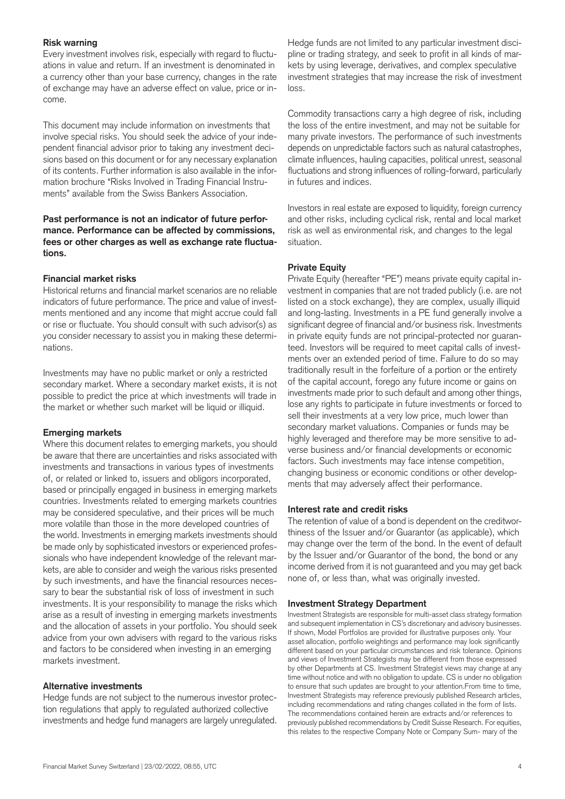## **Risk warning**

Every investment involves risk, especially with regard to fluctuations in value and return. If an investment is denominated in a currency other than your base currency, changes in the rate of exchange may have an adverse effect on value, price or income.

This document may include information on investments that involve special risks. You should seek the advice of your independent financial advisor prior to taking any investment decisions based on this document or for any necessary explanation of its contents. Further information is also available in the information brochure "Risks Involved in Trading Financial Instruments" available from the Swiss Bankers Association.

## **Past performance is not an indicator of future performance. Performance can be affected by commissions, fees or other charges as well as exchange rate fluctuations.**

## **Financial market risks**

Historical returns and financial market scenarios are no reliable indicators of future performance. The price and value of investments mentioned and any income that might accrue could fall or rise or fluctuate. You should consult with such advisor(s) as you consider necessary to assist you in making these determinations.

Investments may have no public market or only a restricted secondary market. Where a secondary market exists, it is not possible to predict the price at which investments will trade in the market or whether such market will be liquid or illiquid.

## **Emerging markets**

Where this document relates to emerging markets, you should be aware that there are uncertainties and risks associated with investments and transactions in various types of investments of, or related or linked to, issuers and obligors incorporated, based or principally engaged in business in emerging markets countries. Investments related to emerging markets countries may be considered speculative, and their prices will be much more volatile than those in the more developed countries of the world. Investments in emerging markets investments should be made only by sophisticated investors or experienced professionals who have independent knowledge of the relevant markets, are able to consider and weigh the various risks presented by such investments, and have the financial resources necessary to bear the substantial risk of loss of investment in such investments. It is your responsibility to manage the risks which arise as a result of investing in emerging markets investments and the allocation of assets in your portfolio. You should seek advice from your own advisers with regard to the various risks and factors to be considered when investing in an emerging markets investment.

## **Alternative investments**

Hedge funds are not subject to the numerous investor protection regulations that apply to regulated authorized collective investments and hedge fund managers are largely unregulated.

Hedge funds are not limited to any particular investment discipline or trading strategy, and seek to profit in all kinds of markets by using leverage, derivatives, and complex speculative investment strategies that may increase the risk of investment loss.

Commodity transactions carry a high degree of risk, including the loss of the entire investment, and may not be suitable for many private investors. The performance of such investments depends on unpredictable factors such as natural catastrophes, climate influences, hauling capacities, political unrest, seasonal fluctuations and strong influences of rolling-forward, particularly in futures and indices.

Investors in real estate are exposed to liquidity, foreign currency and other risks, including cyclical risk, rental and local market risk as well as environmental risk, and changes to the legal situation.

## **Private Equity**

Private Equity (hereafter "PE") means private equity capital investment in companies that are not traded publicly (i.e. are not listed on a stock exchange), they are complex, usually illiquid and long-lasting. Investments in a PE fund generally involve a significant degree of financial and/or business risk. Investments in private equity funds are not principal-protected nor guaranteed. Investors will be required to meet capital calls of investments over an extended period of time. Failure to do so may traditionally result in the forfeiture of a portion or the entirety of the capital account, forego any future income or gains on investments made prior to such default and among other things, lose any rights to participate in future investments or forced to sell their investments at a very low price, much lower than secondary market valuations. Companies or funds may be highly leveraged and therefore may be more sensitive to adverse business and/or financial developments or economic factors. Such investments may face intense competition, changing business or economic conditions or other developments that may adversely affect their performance.

## **Interest rate and credit risks**

The retention of value of a bond is dependent on the creditworthiness of the Issuer and/or Guarantor (as applicable), which may change over the term of the bond. In the event of default by the Issuer and/or Guarantor of the bond, the bond or any income derived from it is not guaranteed and you may get back none of, or less than, what was originally invested.

## **Investment Strategy Department**

Investment Strategists are responsible for multi-asset class strategy formation and subsequent implementation in CS's discretionary and advisory businesses. If shown, Model Portfolios are provided for illustrative purposes only. Your asset allocation, portfolio weightings and performance may look significantly different based on your particular circumstances and risk tolerance. Opinions and views of Investment Strategists may be different from those expressed by other Departments at CS. Investment Strategist views may change at any time without notice and with no obligation to update. CS is under no obligation to ensure that such updates are brought to your attention.From time to time, Investment Strategists may reference previously published Research articles, including recommendations and rating changes collated in the form of lists. The recommendations contained herein are extracts and/or references to previously published recommendations by Credit Suisse Research. For equities, this relates to the respective Company Note or Company Sum- mary of the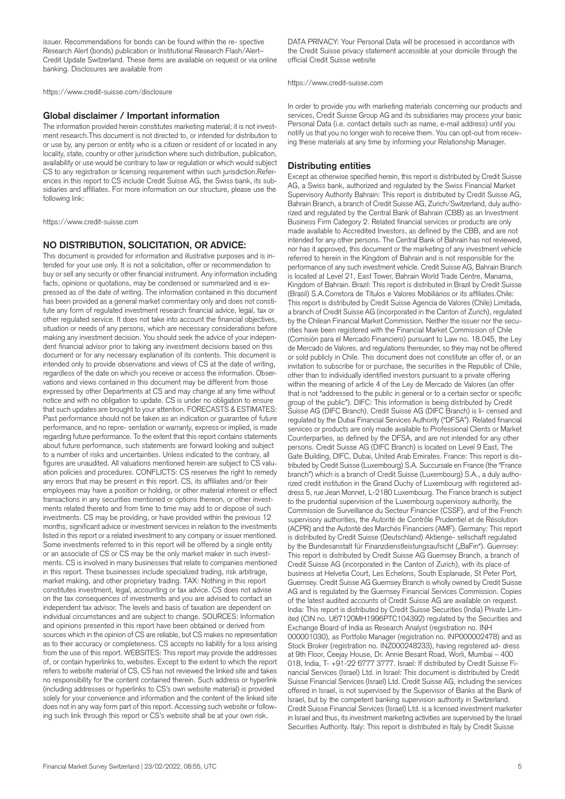issuer. Recommendations for bonds can be found within the re- spective Research Alert (bonds) publication or Institutional Research Flash/Alert– Credit Update Switzerland. These items are available on request or via online banking. Disclosures are available from

<https://www.credit-suisse.com/disclosure>

#### **Global disclaimer / Important information**

The information provided herein constitutes marketing material; it is not investment research.This document is not directed to, or intended for distribution to or use by, any person or entity who is a citizen or resident of or located in any locality, state, country or other jurisdiction where such distribution, publication, availability or use would be contrary to law or regulation or which would subject CS to any registration or licensing requirement within such jurisdiction.References in this report to CS include Credit Suisse AG, the Swiss bank, its subsidiaries and affiliates. For more information on our structure, please use the following link:

<https://www.credit-suisse.com>

#### **NO DISTRIBUTION, SOLICITATION, OR ADVICE:**

This document is provided for information and illustrative purposes and is intended for your use only. It is not a solicitation, offer or recommendation to buy or sell any security or other financial instrument. Any information including facts, opinions or quotations, may be condensed or summarized and is expressed as of the date of writing. The information contained in this document has been provided as a general market commentary only and does not constitute any form of regulated investment research financial advice, legal, tax or other regulated service. It does not take into account the financial objectives, situation or needs of any persons, which are necessary considerations before making any investment decision. You should seek the advice of your independent financial advisor prior to taking any investment decisions based on this document or for any necessary explanation of its contents. This document is intended only to provide observations and views of CS at the date of writing, regardless of the date on which you receive or access the information. Observations and views contained in this document may be different from those expressed by other Departments at CS and may change at any time without notice and with no obligation to update. CS is under no obligation to ensure that such updates are brought to your attention. FORECASTS & ESTIMATES: Past performance should not be taken as an indication or guarantee of future performance, and no repre- sentation or warranty, express or implied, is made regarding future performance. To the extent that this report contains statements about future performance, such statements are forward looking and subject to a number of risks and uncertainties. Unless indicated to the contrary, all figures are unaudited. All valuations mentioned herein are subject to CS valuation policies and procedures. CONFLICTS: CS reserves the right to remedy any errors that may be present in this report. CS, its affiliates and/or their employees may have a position or holding, or other material interest or effect transactions in any securities mentioned or options thereon, or other investments related thereto and from time to time may add to or dispose of such investments. CS may be providing, or have provided within the previous 12 months, significant advice or investment services in relation to the investments listed in this report or a related investment to any company or issuer mentioned. Some investments referred to in this report will be offered by a single entity or an associate of CS or CS may be the only market maker in such investments. CS is involved in many businesses that relate to companies mentioned in this report. These businesses include specialized trading, risk arbitrage, market making, and other proprietary trading. TAX: Nothing in this report constitutes investment, legal, accounting or tax advice. CS does not advise on the tax consequences of investments and you are advised to contact an independent tax advisor. The levels and basis of taxation are dependent on individual circumstances and are subject to change. SOURCES: Information and opinions presented in this report have been obtained or derived from sources which in the opinion of CS are reliable, but CS makes no representation as to their accuracy or completeness. CS accepts no liability for a loss arising from the use of this report. WEBSITES: This report may provide the addresses of, or contain hyperlinks to, websites. Except to the extent to which the report refers to website material of CS, CS has not reviewed the linked site and takes no responsibility for the content contained therein. Such address or hyperlink (including addresses or hyperlinks to CS's own website material) is provided solely for your convenience and information and the content of the linked site does not in any way form part of this report. Accessing such website or following such link through this report or CS's website shall be at your own risk.

DATA PRIVACY: Your Personal Data will be processed in accordance with the Credit Suisse privacy statement accessible at your domicile through the official Credit Suisse website

<https://www.credit-suisse.com>

In order to provide you with marketing materials concerning our products and services, Credit Suisse Group AG and its subsidiaries may process your basic Personal Data (i.e. contact details such as name, e-mail address) until you notify us that you no longer wish to receive them. You can opt-out from receiving these materials at any time by informing your Relationship Manager.

#### **Distributing entities**

Except as otherwise specified herein, this report is distributed by Credit Suisse AG, a Swiss bank, authorized and regulated by the Swiss Financial Market Supervisory Authority Bahrain: This report is distributed by Credit Suisse AG, Bahrain Branch, a branch of Credit Suisse AG, Zurich/Switzerland, duly authorized and regulated by the Central Bank of Bahrain (CBB) as an Investment Business Firm Category 2. Related financial services or products are only made available to Accredited Investors, as defined by the CBB, and are not intended for any other persons. The Central Bank of Bahrain has not reviewed, nor has it approved, this document or the marketing of any investment vehicle referred to herein in the Kingdom of Bahrain and is not responsible for the performance of any such investment vehicle. Credit Suisse AG, Bahrain Branch is located at Level 21, East Tower, Bahrain World Trade Centre, Manama, Kingdom of Bahrain. Brazil: This report is distributed in Brazil by Credit Suisse (Brasil) S.A.Corretora de Títulos e Valores Mobiliários or its affiliates.Chile: This report is distributed by Credit Suisse Agencia de Valores (Chile) Limitada, a branch of Credit Suisse AG (incorporated in the Canton of Zurich), regulated by the Chilean Financial Market Commission. Neither the issuer nor the securities have been registered with the Financial Market Commission of Chile (Comisión para el Mercado Financiero) pursuant to Law no. 18.045, the Ley de Mercado de Valores, and regulations thereunder, so they may not be offered or sold publicly in Chile. This document does not constitute an offer of, or an invitation to subscribe for or purchase, the securities in the Republic of Chile, other than to individually identified investors pursuant to a private offering within the meaning of article 4 of the Ley de Mercado de Valores (an offer that is not "addressed to the public in general or to a certain sector or specific group of the public"). DIFC: This information is being distributed by Credit Suisse AG (DIFC Branch). Credit Suisse AG (DIFC Branch) is li- censed and regulated by the Dubai Financial Services Authority ("DFSA"). Related financial services or products are only made available to Professional Clients or Market Counterparties, as defined by the DFSA, and are not intended for any other persons. Credit Suisse AG (DIFC Branch) is located on Level 9 East, The Gate Building, DIFC, Dubai, United Arab Emirates. France: This report is distributed by Credit Suisse (Luxembourg) S.A. Succursale en France (the "France branch") which is a branch of Credit Suisse (Luxembourg) S.A., a duly authorized credit institution in the Grand Duchy of Luxembourg with registered address 5, rue Jean Monnet, L-2180 Luxembourg. The France branch is subject to the prudential supervision of the Luxembourg supervisory authority, the Commission de Surveillance du Secteur Financier (CSSF), and of the French supervisory authorities, the Autorité de Contrôle Prudentiel et de Résolution (ACPR) and the Autorité des Marchés Financiers (AMF). Germany: This report is distributed by Credit Suisse (Deutschland) Aktienge- sellschaft regulated by the Bundesanstalt für Finanzdienstleistungsaufsicht ("BaFin"). Guernsey: This report is distributed by Credit Suisse AG Guernsey Branch, a branch of Credit Suisse AG (incorporated in the Canton of Zurich), with its place of business at Helvetia Court, Les Echelons, South Esplanade, St Peter Port, Guernsey. Credit Suisse AG Guernsey Branch is wholly owned by Credit Suisse AG and is regulated by the Guernsey Financial Services Commission. Copies of the latest audited accounts of Credit Suisse AG are available on request. India: This report is distributed by Credit Suisse Securities (India) Private Limited (CIN no. U67120MH1996PTC104392) regulated by the Securities and Exchange Board of India as Research Analyst (registration no. INH 000001030), as Portfolio Manager (registration no. INP000002478) and as Stock Broker (registration no. INZ000248233), having registered ad- dress at 9th Floor, Ceejay House, Dr. Annie Besant Road, Worli, Mumbai – 400 018, India, T- +91-22 6777 3777. Israel: If distributed by Credit Suisse Financial Services (Israel) Ltd. in Israel: This document is distributed by Credit Suisse Financial Services (Israel) Ltd. Credit Suisse AG, including the services offered in Israel, is not supervised by the Supervisor of Banks at the Bank of Israel, but by the competent banking supervision authority in Switzerland. Credit Suisse Financial Services (Israel) Ltd. is a licensed investment marketer in Israel and thus, its investment marketing activities are supervised by the Israel Securities Authority. Italy: This report is distributed in Italy by Credit Suisse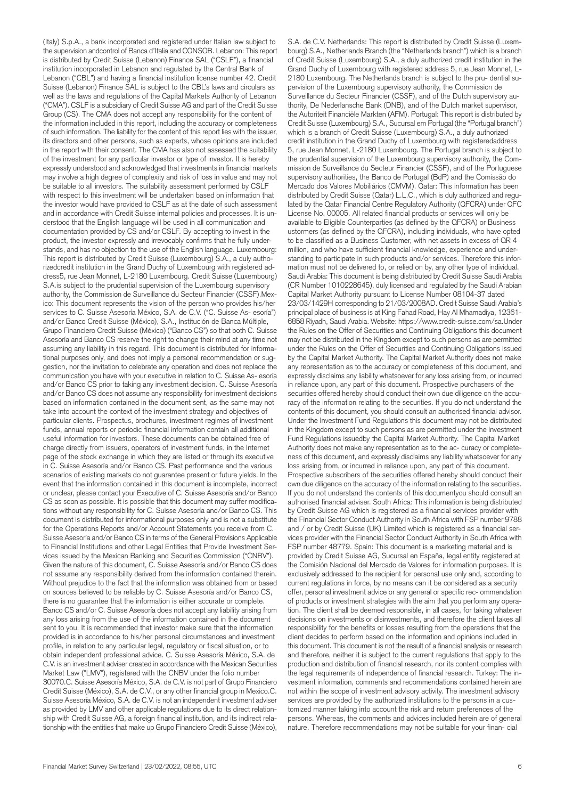(Italy) S.p.A., a bank incorporated and registered under Italian law subject to the supervision andcontrol of Banca d'Italia and CONSOB. Lebanon: This report is distributed by Credit Suisse (Lebanon) Finance SAL ("CSLF"), a financial institution incorporated in Lebanon and regulated by the Central Bank of Lebanon ("CBL") and having a financial institution license number 42. Credit Suisse (Lebanon) Finance SAL is subject to the CBL's laws and circulars as well as the laws and regulations of the Capital Markets Authority of Lebanon ("CMA"). CSLF is a subsidiary of Credit Suisse AG and part of the Credit Suisse Group (CS). The CMA does not accept any responsibility for the content of the information included in this report, including the accuracy or completeness of such information. The liability for the content of this report lies with the issuer, its directors and other persons, such as experts, whose opinions are included in the report with their consent. The CMA has also not assessed the suitability of the investment for any particular investor or type of investor. It is hereby expressly understood and acknowledged that investments in financial markets may involve a high degree of complexity and risk of loss in value and may not be suitable to all investors. The suitability assessment performed by CSLF with respect to this investment will be undertaken based on information that the investor would have provided to CSLF as at the date of such assessment and in accordance with Credit Suisse internal policies and processes. It is understood that the English language will be used in all communication and documentation provided by CS and/or CSLF. By accepting to invest in the product, the investor expressly and irrevocably confirms that he fully understands, and has no objection to the use of the English language. Luxembourg: This report is distributed by Credit Suisse (Luxembourg) S.A., a duly authorizedcredit institution in the Grand Duchy of Luxembourg with registered address5, rue Jean Monnet, L-2180 Luxembourg. Credit Suisse (Luxembourg) S.A.is subject to the prudential supervision of the Luxembourg supervisory authority, the Commission de Surveillance du Secteur Financier (CSSF).Mexico: This document represents the vision of the person who provides his/her services to C. Suisse Asesoría México, S.A. de C.V. ("C. Suisse As- esoría") and/or Banco Credit Suisse (México), S.A., Institución de Banca Múltiple, Grupo Financiero Credit Suisse (México) ("Banco CS") so that both C. Suisse Asesoría and Banco CS reserve the right to change their mind at any time not assuming any liability in this regard. This document is distributed for informational purposes only, and does not imply a personal recommendation or suggestion, nor the invitation to celebrate any operation and does not replace the communication you have with your executive in relation to C. Suisse As- esoría and/or Banco CS prior to taking any investment decision. C. Suisse Asesoría and/or Banco CS does not assume any responsibility for investment decisions based on information contained in the document sent, as the same may not take into account the context of the investment strategy and objectives of particular clients. Prospectus, brochures, investment regimes of investment funds, annual reports or periodic financial information contain all additional useful information for investors. These documents can be obtained free of charge directly from issuers, operators of investment funds, in the Internet page of the stock exchange in which they are listed or through its executive in C. Suisse Asesoría and/or Banco CS. Past performance and the various scenarios of existing markets do not guarantee present or future yields. In the event that the information contained in this document is incomplete, incorrect or unclear, please contact your Executive of C. Suisse Asesoría and/or Banco CS as soon as possible. It is possible that this document may suffer modifications without any responsibility for C. Suisse Asesoría and/or Banco CS. This document is distributed for informational purposes only and is not a substitute for the Operations Reports and/or Account Statements you receive from C. Suisse Asesoría and/or Banco CS in terms of the General Provisions Applicable to Financial Institutions and other Legal Entities that Provide Investment Services issued by the Mexican Banking and Securities Commission ("CNBV"). Given the nature of this document, C. Suisse Asesoría and/or Banco CS does not assume any responsibility derived from the information contained therein. Without prejudice to the fact that the information was obtained from or based on sources believed to be reliable by C. Suisse Asesoría and/or Banco CS, there is no guarantee that the information is either accurate or complete. Banco CS and/or C. Suisse Asesoría does not accept any liability arising from any loss arising from the use of the information contained in the document sent to you. It is recommended that investor make sure that the information provided is in accordance to his/her personal circumstances and investment profile, in relation to any particular legal, regulatory or fiscal situation, or to obtain independent professional advice. C. Suisse Asesoría México, S.A. de C.V. is an investment adviser created in accordance with the Mexican Securities Market Law ("LMV"), registered with the CNBV under the folio number 30070.C. Suisse Asesoría México, S.A. de C.V. is not part of Grupo Financiero Credit Suisse (México), S.A. de C.V., or any other financial group in Mexico.C. Suisse Asesoría México, S.A. de C.V. is not an independent investment adviser as provided by LMV and other applicable regulations due to its direct relationship with Credit Suisse AG, a foreign financial institution, and its indirect relationship with the entities that make up Grupo Financiero Credit Suisse (México),

S.A. de C.V. Netherlands: This report is distributed by Credit Suisse (Luxembourg) S.A., Netherlands Branch (the "Netherlands branch") which is a branch of Credit Suisse (Luxembourg) S.A., a duly authorized credit institution in the Grand Duchy of Luxembourg with registered address 5, rue Jean Monnet, L-2180 Luxembourg. The Netherlands branch is subject to the pru- dential supervision of the Luxembourg supervisory authority, the Commission de Surveillance du Secteur Financier (CSSF), and of the Dutch supervisory authority, De Nederlansche Bank (DNB), and of the Dutch market supervisor, the Autoriteit Financiële Markten (AFM). Portugal: This report is distributed by Credit Suisse (Luxembourg) S.A., Sucursal em Portugal (the "Portugal branch") which is a branch of Credit Suisse (Luxembourg) S.A., a duly authorized credit institution in the Grand Duchy of Luxembourg with registeredaddress 5, rue Jean Monnet, L-2180 Luxembourg. The Portugal branch is subject to the prudential supervision of the Luxembourg supervisory authority, the Commission de Surveillance du Secteur Financier (CSSF), and of the Portuguese supervisory authorities, the Banco de Portugal (BdP) and the Comissão do Mercado dos Valores Mobiliários (CMVM). Qatar: This information has been distributed by Credit Suisse (Qatar) L.L.C., which is duly authorized and regulated by the Qatar Financial Centre Regulatory Authority (QFCRA) under QFC License No. 00005. All related financial products or services will only be available to Eligible Counterparties (as defined by the QFCRA) or Business ustormers (as defined by the QFCRA), including individuals, who have opted to be classified as a Business Customer, with net assets in excess of QR 4 million, and who have sufficient financial knowledge, experience and understanding to participate in such products and/or services. Therefore this information must not be delivered to, or relied on by, any other type of individual. Saudi Arabia: This document is being distributed by Credit Suisse Saudi Arabia (CR Number 1010228645), duly licensed and regulated by the Saudi Arabian Capital Market Authority pursuant to License Number 08104-37 dated 23/03/1429H corresponding to 21/03/2008AD. Credit Suisse Saudi Arabia's principal place of business is at King Fahad Road, Hay Al Mhamadiya, 12361- 6858 Riyadh, Saudi Arabia. Website: <https://www.credit-suisse.com/sa.Under> the Rules on the Offer of Securities and Continuing Obligations this document may not be distributed in the Kingdom except to such persons as are permitted under the Rules on the Offer of Securities and Continuing Obligations issued by the Capital Market Authority. The Capital Market Authority does not make any representation as to the accuracy or completeness of this document, and expressly disclaims any liability whatsoever for any loss arising from, or incurred in reliance upon, any part of this document. Prospective purchasers of the securities offered hereby should conduct their own due diligence on the accuracy of the information relating to the securities. If you do not understand the contents of this document, you should consult an authorised financial advisor. Under the Investment Fund Regulations this document may not be distributed in the Kingdom except to such persons as are permitted under the Investment Fund Regulations issuedby the Capital Market Authority. The Capital Market Authority does not make any representation as to the ac- curacy or completeness of this document, and expressly disclaims any liability whatsoever for any loss arising from, or incurred in reliance upon, any part of this document. Prospective subscribers of the securities offered hereby should conduct their own due diligence on the accuracy of the information relating to the securities. If you do not understand the contents of this documentyou should consult an authorised financial adviser. South Africa: This information is being distributed by Credit Suisse AG which is registered as a financial services provider with the Financial Sector Conduct Authority in South Africa with FSP number 9788 and / or by Credit Suisse (UK) Limited which is registered as a financial services provider with the Financial Sector Conduct Authority in South Africa with FSP number 48779. Spain: This document is a marketing material and is provided by Credit Suisse AG, Sucursal en España, legal entity registered at the Comisión Nacional del Mercado de Valores for information purposes. It is exclusively addressed to the recipient for personal use only and, according to current regulations in force, by no means can it be considered as a security offer, personal investment advice or any general or specific rec- ommendation of products or investment strategies with the aim that you perform any operation. The client shall be deemed responsible, in all cases, for taking whatever decisions on investments or disinvestments, and therefore the client takes all responsibility for the benefits or losses resulting from the operations that the client decides to perform based on the information and opinions included in this document. This document is not the result of a financial analysis or research and therefore, neither it is subject to the current regulations that apply to the production and distribution of financial research, nor its content complies with the legal requirements of independence of financial research. Turkey: The investment information, comments and recommendations contained herein are not within the scope of investment advisory activity. The investment advisory services are provided by the authorized institutions to the persons in a customized manner taking into account the risk and return preferences of the persons. Whereas, the comments and advices included herein are of general nature. Therefore recommendations may not be suitable for your finan- cial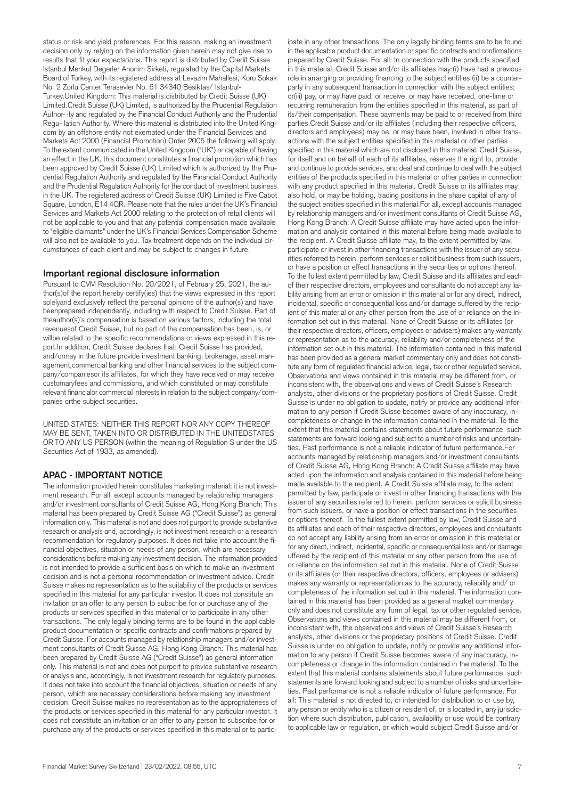status or risk and yield preferences. For this reason, making an investment decision only by relying on the information given herein may not give rise to results that fit your expectations. This report is distributed by Credit Suisse Istanbul Menkul Degerler Anonim Sirketi, regulated by the Capital Markets Board of Turkey, with its registered address at Levazim Mahallesi, Koru Sokak No. 2 Zorlu Center Terasevler No. 61 34340 Besiktas/ Istanbul-Turkey.United Kingdom: This material is distributed by Credit Suisse (UK) Limited.Credit Suisse (UK) Limited, is authorized by the Prudential Regulation Author- ity and regulated by the Financial Conduct Authority and the Prudential Regu- lation Authority. Where this material is distributed into the United Kingdom by an offshore entity not exempted under the Financial Services and Markets Act 2000 (Financial Promotion) Order 2005 the following will apply: To the extent communicated in the United Kingdom ("UK") or capable of having an effect in the UK, this document constitutes a financial promotion which has been approved by Credit Suisse (UK) Limited which is authorized by the Prudential Regulation Authority and regulated by the Financial Conduct Authority and the Prudential Regulation Authority for the conduct of investment business in the UK. The registered address of Credit Suisse (UK) Limited is Five Cabot Square, London, E14 4QR. Please note that the rules under the UK's Financial Services and Markets Act 2000 relating to the protection of retail clients will not be applicable to you and that any potential compensation made available to "eligible claimants" under the UK's Financial Services Compensation Scheme will also not be available to you. Tax treatment depends on the individual circumstances of each client and may be subject to changes in future.

#### **Important regional disclosure information**

Pursuant to CVM Resolution No. 20/2021, of February 25, 2021, the author(s)of the report hereby certify(ies) that the views expressed in this report solelyand exclusively reflect the personal opinions of the author(s) and have beenprepared independently, including with respect to Credit Suisse. Part of theauthor(s)´s compensation is based on various factors, including the total revenuesof Credit Suisse, but no part of the compensation has been, is, or willbe related to the specific recommendations or views expressed in this report.In addition, Credit Suisse declares that: Credit Suisse has provided, and/ormay in the future provide investment banking, brokerage, asset management,commercial banking and other financial services to the subject company/companiesor its affiliates, for which they have received or may receive customaryfees and commissions, and which constituted or may constitute relevant financialor commercial interests in relation to the subject company/companies orthe subject securities.

UNITED STATES: NEITHER THIS REPORT NOR ANY COPY THEREOF MAY BE SENT, TAKEN INTO OR DISTRIBUTED IN THE UNITEDSTATES OR TO ANY US PERSON (within the meaning of Regulation S under the US Securities Act of 1933, as amended).

## **APAC - IMPORTANT NOTICE**

The information provided herein constitutes marketing material; it is not investment research. For all, except accounts managed by relationship managers and/or investment consultants of Credit Suisse AG, Hong Kong Branch: This material has been prepared by Credit Suisse AG ("Credit Suisse") as general information only. This material is not and does not purport to provide substantive research or analysis and, accordingly, is not investment research or a research recommendation for regulatory purposes. It does not take into account the financial objectives, situation or needs of any person, which are necessary considerations before making any investment decision. The information provided is not intended to provide a sufficient basis on which to make an investment decision and is not a personal recommendation or investment advice. Credit Suisse makes no representation as to the suitability of the products or services specified in this material for any particular investor. It does not constitute an invitation or an offer to any person to subscribe for or purchase any of the products or services specified in this material or to participate in any other transactions. The only legally binding terms are to be found in the applicable product documentation or specific contracts and confirmations prepared by Credit Suisse. For accounts managed by relationship managers and/or investment consultants of Credit Suisse AG, Hong Kong Branch: This material has been prepared by Credit Suisse AG ("Credit Suisse") as general information only. This material is not and does not purport to provide substantive research or analysis and, accordingly, is not investment research for regulatory purposes. It does not take into account the financial objectives, situation or needs of any person, which are necessary considerations before making any investment decision. Credit Suisse makes no representation as to the appropriateness of the products or services specified in this material for any particular investor. It does not constitute an invitation or an offer to any person to subscribe for or purchase any of the products or services specified in this material or to partic-

in the applicable product documentation or specific contracts and confirmations prepared by Credit Suisse. For all: In connection with the products specified in this material, Credit Suisse and/or its affiliates may:(i) have had a previous role in arranging or providing financing to the subject entities;(ii) be a counterparty in any subsequent transaction in connection with the subject entities; or(iii) pay, or may have paid, or receive, or may have received, one-time or recurring remuneration from the entities specified in this material, as part of its/their compensation. These payments may be paid to or received from third parties.Credit Suisse and/or its affiliates (including their respective officers, directors and employees) may be, or may have been, involved in other transactions with the subject entities specified in this material or other parties specified in this material which are not disclosed in this material. Credit Suisse, for itself and on behalf of each of its affiliates, reserves the right to, provide and continue to provide services, and deal and continue to deal with the subject entities of the products specified in this material or other parties in connection with any product specified in this material. Credit Suisse or its affiliates may also hold, or may be holding, trading positions in the share capital of any of the subject entities specified in this material.For all, except accounts managed by relationship managers and/or investment consultants of Credit Suisse AG, Hong Kong Branch: A Credit Suisse affiliate may have acted upon the information and analysis contained in this material before being made available to the recipient. A Credit Suisse affiliate may, to the extent permitted by law, participate or invest in other financing transactions with the issuer of any securities referred to herein, perform services or solicit business from such issuers, or have a position or effect transactions in the securities or options thereof. To the fullest extent permitted by law, Credit Suisse and its affiliates and each of their respective directors, employees and consultants do not accept any liability arising from an error or omission in this material or for any direct, indirect, incidental, specific or consequential loss and/or damage suffered by the recipient of this material or any other person from the use of or reliance on the information set out in this material. None of Credit Suisse or its affiliates (or their respective directors, officers, employees or advisers) makes any warranty or representation as to the accuracy, reliability and/or completeness of the information set out in this material. The information contained in this material has been provided as a general market commentary only and does not constitute any form of regulated financial advice, legal, tax or other regulated service. Observations and views contained in this material may be different from, or inconsistent with, the observations and views of Credit Suisse's Research analysts, other divisions or the proprietary positions of Credit Suisse. Credit Suisse is under no obligation to update, notify or provide any additional information to any person if Credit Suisse becomes aware of any inaccuracy, incompleteness or change in the information contained in the material. To the extent that this material contains statements about future performance, such statements are forward looking and subject to a number of risks and uncertainties. Past performance is not a reliable indicator of future performance.For accounts managed by relationship managers and/or investment consultants of Credit Suisse AG, Hong Kong Branch: A Credit Suisse affiliate may have acted upon the information and analysis contained in this material before being made available to the recipient. A Credit Suisse affiliate may, to the extent permitted by law, participate or invest in other financing transactions with the issuer of any securities referred to herein, perform services or solicit business from such issuers, or have a position or effect transactions in the securities or options thereof. To the fullest extent permitted by law, Credit Suisse and its affiliates and each of their respective directors, employees and consultants do not accept any liability arising from an error or omission in this material or for any direct, indirect, incidental, specific or consequential loss and/or damage uffered by the recipient of this material or any other person from the use of or reliance on the information set out in this material. None of Credit Suisse or its affiliates (or their respective directors, officers, employees or advisers) makes any warranty or representation as to the accuracy, reliability and/ or completeness of the information set out in this material. The information contained in this material has been provided as a general market commentary only and does not constitute any form of legal, tax or other regulated service. Observations and views contained in this material may be different from, or inconsistent with, the observations and views of Credit Suisse's Research analysts, other divisions or the proprietary positions of Credit Suisse. Credit Suisse is under no obligation to update, notify or provide any additional information to any person if Credit Suisse becomes aware of any inaccuracy, incompleteness or change in the information contained in the material. To the extent that this material contains statements about future performance, such statements are forward looking and subject to a number of risks and uncertainties. Past performance is not a reliable indicator of future performance. For all: This material is not directed to, or intended for distribution to or use by, any person or entity who is a citizen or resident of, or is located in, any jurisdiction where such distribution, publication, availability or use would be contrary to applicable law or regulation, or which would subject Credit Suisse and/or

ipate in any other transactions. The only legally binding terms are to be found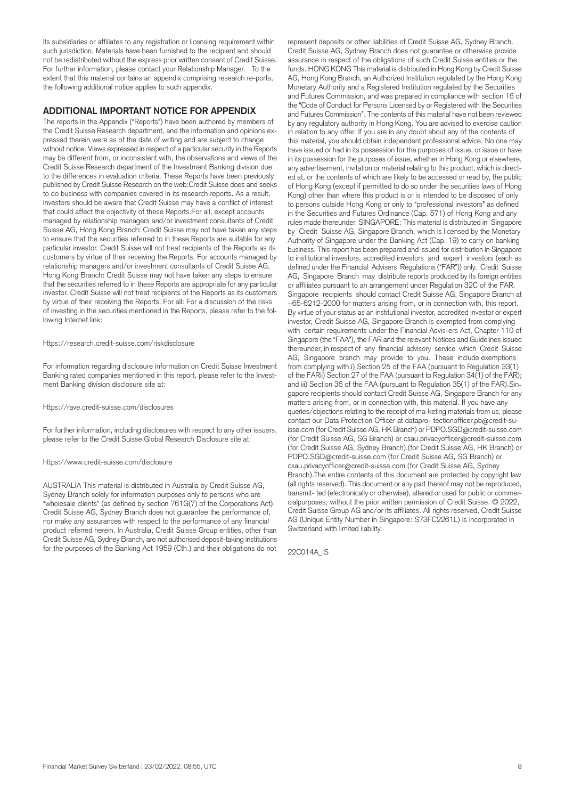its subsidiaries or affiliates to any registration or licensing requirement within such jurisdiction. Materials have been furnished to the recipient and should not be redistributed without the express prior written consent of Credit Suisse. For further information, please contact your Relationship Manager. To the extent that this material contains an appendix comprising research re-ports, the following additional notice applies to such appendix.

#### **ADDITIONAL IMPORTANT NOTICE FOR APPENDIX**

The reports in the Appendix ("Reports") have been authored by members of the Credit Suisse Research department, and the information and opinions expressed therein were as of the date of writing and are subject to change without notice. Views expressed in respect of a particular security in the Reports may be different from, or inconsistent with, the observations and views of the Credit Suisse Research department of the Investment Banking division due to the differences in evaluation criteria. These Reports have been previously published by Credit Suisse Research on the web:Credit Suisse does and seeks to do business with companies covered in its research reports. As a result, investors should be aware that Credit Suisse may have a conflict of interest that could affect the objectivity of these Reports.For all, except accounts managed by relationship managers and/or investment consultants of Credit Suisse AG, Hong Kong Branch: Credit Suisse may not have taken any steps to ensure that the securities referred to in these Reports are suitable for any particular investor. Credit Suisse will not treat recipients of the Reports as its customers by virtue of their receiving the Reports. For accounts managed by relationship managers and/or investment consultants of Credit Suisse AG, Hong Kong Branch: Credit Suisse may not have taken any steps to ensure that the securities referred to in these Reports are appropriate for any particular investor. Credit Suisse will not treat recipients of the Reports as its customers by virtue of their receiving the Reports. For all: For a discussion of the risks of investing in the securities mentioned in the Reports, please refer to the following Internet link:

#### <https://research.credit-suisse.com/riskdisclosure>

For information regarding disclosure information on Credit Suisse Investment Banking rated companies mentioned in this report, please refer to the Investment Banking division disclosure site at:

#### <https://rave.credit-suisse.com/disclosures>

For further information, including disclosures with respect to any other issuers, please refer to the Credit Suisse Global Research Disclosure site at:

#### <https://www.credit-suisse.com/disclosure>

AUSTRALIA This material is distributed in Australia by Credit Suisse AG, Sydney Branch solely for information purposes only to persons who are "wholesale clients" (as defined by section 761G(7) of the Corporations Act). Credit Suisse AG, Sydney Branch does not guarantee the performance of, nor make any assurances with respect to the performance of any financial product referred herein. In Australia, Credit Suisse Group entities, other than Credit Suisse AG, Sydney Branch, are not authorised deposit-taking institutions for the purposes of the Banking Act 1959 (Cth.) and their obligations do not

represent deposits or other liabilities of Credit Suisse AG, Sydney Branch. Credit Suisse AG, Sydney Branch does not guarantee or otherwise provide assurance in respect of the obligations of such Credit Suisse entities or the funds. HONG KONG This material is distributed in Hong Kong by Credit Suisse AG, Hong Kong Branch, an Authorized Institution regulated by the Hong Kong Monetary Authority and a Registered Institution regulated by the Securities and Futures Commission, and was prepared in compliance with section 16 of the "Code of Conduct for Persons Licensed by or Registered with the Securities and Futures Commission". The contents of this material have not been reviewed by any regulatory authority in Hong Kong. You are advised to exercise caution in relation to any offer. If you are in any doubt about any of the contents of this material, you should obtain independent professional advice. No one may have issued or had in its possession for the purposes of issue, or issue or have in its possession for the purposes of issue, whether in Hong Kong or elsewhere, any advertisement, invitation or material relating to this product, which is directed at, or the contents of which are likely to be accessed or read by, the public of Hong Kong (except if permitted to do so under the securities laws of Hong Kong) other than where this product is or is intended to be disposed of only to persons outside Hong Kong or only to "professional investors" as defined in the Securities and Futures Ordinance (Cap. 571) of Hong Kong and any rules made thereunder. SINGAPORE: This material is distributed in Singapore by Credit Suisse AG, Singapore Branch, which is licensed by the Monetary Authority of Singapore under the Banking Act (Cap. 19) to carry on banking business. This report has been prepared and issued for distribution in Singapore to institutional investors, accredited investors and expert investors (each as defined under the Financial Advisers Regulations ("FAR")) only. Credit Suisse AG, Singapore Branch may distribute reports produced by its foreign entities or affiliates pursuant to an arrangement under Regulation 32C of the FAR. Singapore recipients should contact Credit Suisse AG, Singapore Branch at +65-6212-2000 for matters arising from, or in connection with, this report. By virtue of your status as an institutional investor, accredited investor or expert investor, Credit Suisse AG, Singapore Branch is exempted from complying with certain requirements under the Financial Advis-ers Act, Chapter 110 of Singapore (the "FAA"), the FAR and the relevant Notices and Guidelines issued thereunder, in respect of any financial advisory service which Credit Suisse AG, Singapore branch may provide to you. These include exemptions from complying with:i) Section 25 of the FAA (pursuant to Regulation 33(1) of the FARii) Section 27 of the FAA (pursuant to Regulation 34(1) of the FAR); and iii) Section 36 of the FAA (pursuant to Regulation 35(1) of the FAR).Singapore recipients should contact Credit Suisse AG, Singapore Branch for any matters arising from, or in connection with, this material. If you have any queries/objections relating to the receipt of ma-keting materials from us, please contact our Data Protection Officer at [datapro- tectionofficer.pb@credit-su](mailto:datapro-tectionofficer.pb@credit-su)[isse.com](https://isse.com) (for Credit Suisse AG, HK Branch) or [PDPO.SGD@credit-suisse.com](mailto:PDPO.SGD@credit-suisse.com) (for Credit Suisse AG, SG Branch) or [csau.privacyofficer@credit-suisse.com](mailto:csau.privacyofficer@credit-suisse.com) (for Credit Suisse AG, Sydney Branch).(for Credit Suisse AG, HK Branch) or [PDPO.SGD@credit-suisse.com](mailto:PDPO.SGD@credit-suisse.com) (for Credit Suisse AG, SG Branch) or [csau.privacyofficer@credit-suisse.com](mailto:csau.privacyofficer@credit-suisse.com) (for Credit Suisse AG, Sydney Branch).The entire contents of this document are protected by copyright law (all rights reserved). This document or any part thereof may not be reproduced, transmit- ted (electronically or otherwise), altered or used for public or commercialpurposes, without the prior written permission of Credit Suisse. © 2022, Credit Suisse Group AG and/or its affiliates. All rights reserved. Credit Suisse AG (Unique Entity Number in Singapore: S73FC2261L) is incorporated in Switzerland with limited liability.

22C014A\_IS